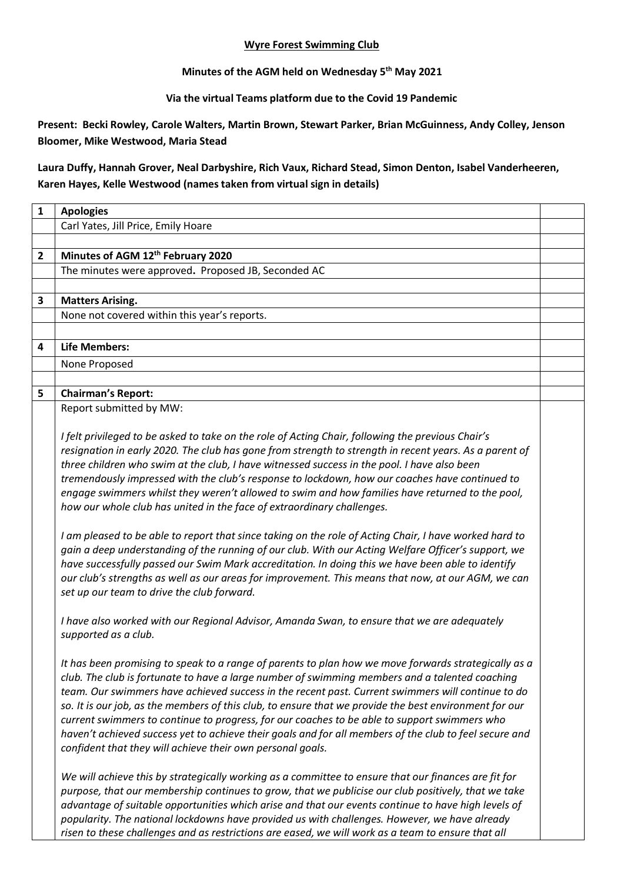## **Wyre Forest Swimming Club**

**Minutes of the AGM held on Wednesday 5 th May 2021**

**Via the virtual Teams platform due to the Covid 19 Pandemic**

**Present: Becki Rowley, Carole Walters, Martin Brown, Stewart Parker, Brian McGuinness, Andy Colley, Jenson Bloomer, Mike Westwood, Maria Stead** 

**Laura Duffy, Hannah Grover, Neal Darbyshire, Rich Vaux, Richard Stead, Simon Denton, Isabel Vanderheeren, Karen Hayes, Kelle Westwood (names taken from virtual sign in details)**

| $\mathbf{1}$   | <b>Apologies</b>                                                                                                                                                                                                                                                                                                                                                                                                                                                                                                                                                                                                                                                                              |  |
|----------------|-----------------------------------------------------------------------------------------------------------------------------------------------------------------------------------------------------------------------------------------------------------------------------------------------------------------------------------------------------------------------------------------------------------------------------------------------------------------------------------------------------------------------------------------------------------------------------------------------------------------------------------------------------------------------------------------------|--|
|                | Carl Yates, Jill Price, Emily Hoare                                                                                                                                                                                                                                                                                                                                                                                                                                                                                                                                                                                                                                                           |  |
|                |                                                                                                                                                                                                                                                                                                                                                                                                                                                                                                                                                                                                                                                                                               |  |
| $\overline{2}$ | Minutes of AGM 12 <sup>th</sup> February 2020                                                                                                                                                                                                                                                                                                                                                                                                                                                                                                                                                                                                                                                 |  |
|                | The minutes were approved. Proposed JB, Seconded AC                                                                                                                                                                                                                                                                                                                                                                                                                                                                                                                                                                                                                                           |  |
|                |                                                                                                                                                                                                                                                                                                                                                                                                                                                                                                                                                                                                                                                                                               |  |
| 3              | <b>Matters Arising.</b>                                                                                                                                                                                                                                                                                                                                                                                                                                                                                                                                                                                                                                                                       |  |
|                | None not covered within this year's reports.                                                                                                                                                                                                                                                                                                                                                                                                                                                                                                                                                                                                                                                  |  |
|                |                                                                                                                                                                                                                                                                                                                                                                                                                                                                                                                                                                                                                                                                                               |  |
| 4              | <b>Life Members:</b>                                                                                                                                                                                                                                                                                                                                                                                                                                                                                                                                                                                                                                                                          |  |
|                | None Proposed                                                                                                                                                                                                                                                                                                                                                                                                                                                                                                                                                                                                                                                                                 |  |
|                |                                                                                                                                                                                                                                                                                                                                                                                                                                                                                                                                                                                                                                                                                               |  |
| 5              | <b>Chairman's Report:</b>                                                                                                                                                                                                                                                                                                                                                                                                                                                                                                                                                                                                                                                                     |  |
|                | Report submitted by MW:                                                                                                                                                                                                                                                                                                                                                                                                                                                                                                                                                                                                                                                                       |  |
|                | I felt privileged to be asked to take on the role of Acting Chair, following the previous Chair's<br>resignation in early 2020. The club has gone from strength to strength in recent years. As a parent of                                                                                                                                                                                                                                                                                                                                                                                                                                                                                   |  |
|                | three children who swim at the club, I have witnessed success in the pool. I have also been<br>tremendously impressed with the club's response to lockdown, how our coaches have continued to<br>engage swimmers whilst they weren't allowed to swim and how families have returned to the pool,<br>how our whole club has united in the face of extraordinary challenges.                                                                                                                                                                                                                                                                                                                    |  |
|                | I am pleased to be able to report that since taking on the role of Acting Chair, I have worked hard to<br>gain a deep understanding of the running of our club. With our Acting Welfare Officer's support, we<br>have successfully passed our Swim Mark accreditation. In doing this we have been able to identify<br>our club's strengths as well as our areas for improvement. This means that now, at our AGM, we can<br>set up our team to drive the club forward.                                                                                                                                                                                                                        |  |
|                | I have also worked with our Regional Advisor, Amanda Swan, to ensure that we are adequately<br>supported as a club.                                                                                                                                                                                                                                                                                                                                                                                                                                                                                                                                                                           |  |
|                | It has been promising to speak to a range of parents to plan how we move forwards strategically as a<br>club. The club is fortunate to have a large number of swimming members and a talented coaching<br>team. Our swimmers have achieved success in the recent past. Current swimmers will continue to do<br>so. It is our job, as the members of this club, to ensure that we provide the best environment for our<br>current swimmers to continue to progress, for our coaches to be able to support swimmers who<br>haven't achieved success yet to achieve their goals and for all members of the club to feel secure and<br>confident that they will achieve their own personal goals. |  |
|                | We will achieve this by strategically working as a committee to ensure that our finances are fit for<br>purpose, that our membership continues to grow, that we publicise our club positively, that we take<br>advantage of suitable opportunities which arise and that our events continue to have high levels of<br>popularity. The national lockdowns have provided us with challenges. However, we have already<br>risen to these challenges and as restrictions are eased, we will work as a team to ensure that all                                                                                                                                                                     |  |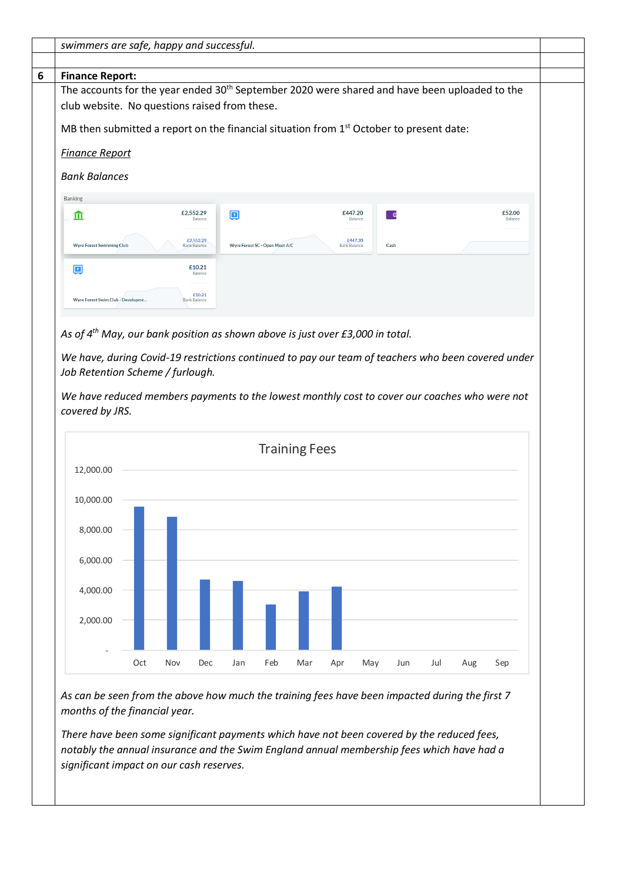| <b>Finance Report:</b>                                                                                                                                                                                                                                                                                                                                  |     |     |                                  |        |                                |                      |                     |         |      |  |                   |
|---------------------------------------------------------------------------------------------------------------------------------------------------------------------------------------------------------------------------------------------------------------------------------------------------------------------------------------------------------|-----|-----|----------------------------------|--------|--------------------------------|----------------------|---------------------|---------|------|--|-------------------|
| The accounts for the year ended 30 <sup>th</sup> September 2020 were shared and have been uploaded to the<br>club website. No questions raised from these.                                                                                                                                                                                              |     |     |                                  |        |                                |                      |                     |         |      |  |                   |
|                                                                                                                                                                                                                                                                                                                                                         |     |     |                                  |        |                                |                      |                     |         |      |  |                   |
| MB then submitted a report on the financial situation from $1st$ October to present date:                                                                                                                                                                                                                                                               |     |     |                                  |        |                                |                      |                     |         |      |  |                   |
| <b>Finance Report</b>                                                                                                                                                                                                                                                                                                                                   |     |     |                                  |        |                                |                      |                     |         |      |  |                   |
| <b>Bank Balances</b>                                                                                                                                                                                                                                                                                                                                    |     |     |                                  |        |                                |                      |                     |         |      |  |                   |
| <b>Banking</b>                                                                                                                                                                                                                                                                                                                                          |     |     |                                  |        |                                |                      |                     |         |      |  |                   |
| m                                                                                                                                                                                                                                                                                                                                                       |     |     | £2,552.29<br>Balance             | $\Box$ |                                |                      | £447.20             | Balance | n d  |  | £52.00<br>Balance |
|                                                                                                                                                                                                                                                                                                                                                         |     |     |                                  |        |                                |                      |                     |         |      |  |                   |
| <b>Wyre Forest Swimming Club</b>                                                                                                                                                                                                                                                                                                                        |     |     | £2,552.29<br><b>Bank Balance</b> |        | Wyre Forest SC - Open Meet A/C |                      | <b>Bank Balance</b> | £447.20 | Cash |  |                   |
| 回                                                                                                                                                                                                                                                                                                                                                       |     |     | £10.21<br>Balance                |        |                                |                      |                     |         |      |  |                   |
|                                                                                                                                                                                                                                                                                                                                                         |     |     | £10.21                           |        |                                |                      |                     |         |      |  |                   |
| Wyre Forest Swim Club - Developme                                                                                                                                                                                                                                                                                                                       |     |     | <b>Bank Balance</b>              |        |                                |                      |                     |         |      |  |                   |
|                                                                                                                                                                                                                                                                                                                                                         |     |     |                                  |        |                                |                      |                     |         |      |  |                   |
| As of 4 <sup>th</sup> May, our bank position as shown above is just over £3,000 in total.<br>We have, during Covid-19 restrictions continued to pay our team of teachers who been covered under<br>Job Retention Scheme / furlough.<br>We have reduced members payments to the lowest monthly cost to cover our coaches who were not<br>covered by JRS. |     |     |                                  |        |                                |                      |                     |         |      |  |                   |
|                                                                                                                                                                                                                                                                                                                                                         |     |     |                                  |        |                                | <b>Training Fees</b> |                     |         |      |  |                   |
| 12,000.00                                                                                                                                                                                                                                                                                                                                               |     |     |                                  |        |                                |                      |                     |         |      |  |                   |
| 10,000.00                                                                                                                                                                                                                                                                                                                                               |     |     |                                  |        |                                |                      |                     |         |      |  |                   |
|                                                                                                                                                                                                                                                                                                                                                         |     |     |                                  |        |                                |                      |                     |         |      |  |                   |
| 8,000.00                                                                                                                                                                                                                                                                                                                                                |     |     |                                  |        |                                |                      |                     |         |      |  |                   |
|                                                                                                                                                                                                                                                                                                                                                         |     |     |                                  |        |                                |                      |                     |         |      |  |                   |
| 6,000.00                                                                                                                                                                                                                                                                                                                                                |     |     |                                  |        |                                |                      |                     |         |      |  |                   |
| 4,000.00                                                                                                                                                                                                                                                                                                                                                |     |     |                                  |        |                                |                      |                     |         |      |  |                   |
|                                                                                                                                                                                                                                                                                                                                                         |     |     |                                  |        |                                |                      |                     |         |      |  |                   |
| 2,000.00                                                                                                                                                                                                                                                                                                                                                |     |     |                                  |        |                                |                      |                     |         |      |  |                   |
|                                                                                                                                                                                                                                                                                                                                                         | Oct | Nov |                                  |        | Feb                            |                      |                     |         |      |  |                   |

*There have been some significant payments which have not been covered by the reduced fees, notably the annual insurance and the Swim England annual membership fees which have had a significant impact on our cash reserves.*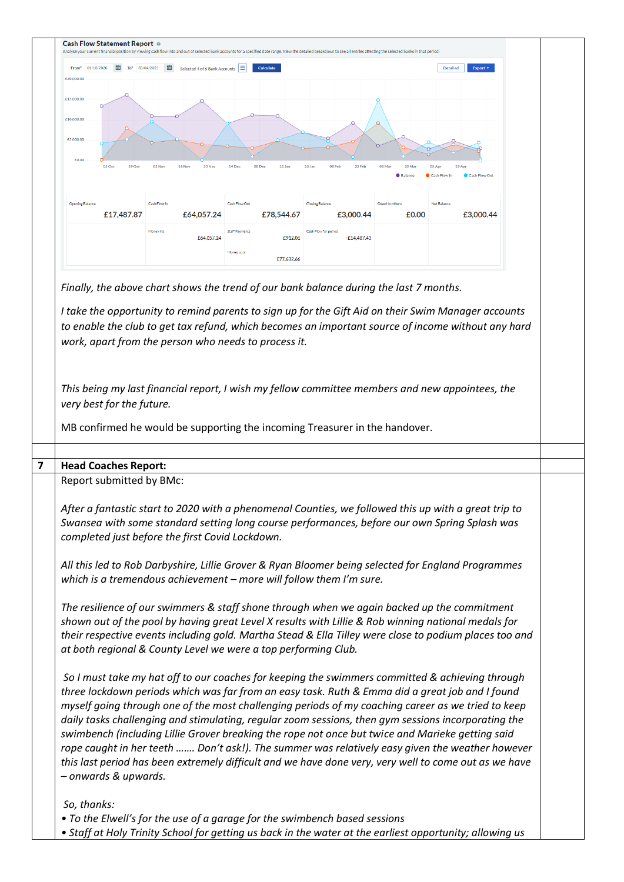| $\overline{10}$ To* 30/04/2021<br>01/10/2020<br>From <sup>*</sup>                                                                                                                                                                                                                                                                                                                                                                        | 画<br>Selected 4 of 6 Bank Accounts | Е<br><b>Calculate</b>                                                                                                                                       |                                       |                       | <b>Detailed</b><br>Export <b>v</b>                                                                                                                                                                       |
|------------------------------------------------------------------------------------------------------------------------------------------------------------------------------------------------------------------------------------------------------------------------------------------------------------------------------------------------------------------------------------------------------------------------------------------|------------------------------------|-------------------------------------------------------------------------------------------------------------------------------------------------------------|---------------------------------------|-----------------------|----------------------------------------------------------------------------------------------------------------------------------------------------------------------------------------------------------|
| £20,000.00                                                                                                                                                                                                                                                                                                                                                                                                                               |                                    |                                                                                                                                                             |                                       |                       |                                                                                                                                                                                                          |
| £15,000.00                                                                                                                                                                                                                                                                                                                                                                                                                               |                                    |                                                                                                                                                             |                                       |                       |                                                                                                                                                                                                          |
|                                                                                                                                                                                                                                                                                                                                                                                                                                          |                                    |                                                                                                                                                             |                                       |                       |                                                                                                                                                                                                          |
| £10,000.00                                                                                                                                                                                                                                                                                                                                                                                                                               |                                    |                                                                                                                                                             |                                       |                       |                                                                                                                                                                                                          |
| £5,000.00                                                                                                                                                                                                                                                                                                                                                                                                                                |                                    |                                                                                                                                                             |                                       |                       |                                                                                                                                                                                                          |
| £0.00                                                                                                                                                                                                                                                                                                                                                                                                                                    |                                    |                                                                                                                                                             |                                       |                       |                                                                                                                                                                                                          |
| 05 Oct<br>19 Oct                                                                                                                                                                                                                                                                                                                                                                                                                         | 02 Nov<br>16 Nov                   | 28 Dec<br>14 Dec<br>11 Jar                                                                                                                                  | 22 Feb<br>25 Jan<br>08 Feb            | 22 Ma<br><b>05 Ap</b> | <b>19 Ap</b>                                                                                                                                                                                             |
|                                                                                                                                                                                                                                                                                                                                                                                                                                          |                                    |                                                                                                                                                             |                                       |                       |                                                                                                                                                                                                          |
| <b>Opening Balano</b>                                                                                                                                                                                                                                                                                                                                                                                                                    | Cash Flow In                       | <b>Cash Flow Out</b>                                                                                                                                        | <b>Closing Balance</b>                | <b>Net Balan</b>      |                                                                                                                                                                                                          |
| £17,487.87                                                                                                                                                                                                                                                                                                                                                                                                                               | £64,057.24                         | £78,544.67                                                                                                                                                  | £3,000.44                             | £0.00                 | £3,000.44                                                                                                                                                                                                |
|                                                                                                                                                                                                                                                                                                                                                                                                                                          | Money ins<br>£64,057.24            | <b>Staff Payments</b><br>£912.01                                                                                                                            | Cash Flow for period<br>$-E14,487.43$ |                       |                                                                                                                                                                                                          |
|                                                                                                                                                                                                                                                                                                                                                                                                                                          |                                    | Money outs                                                                                                                                                  |                                       |                       |                                                                                                                                                                                                          |
|                                                                                                                                                                                                                                                                                                                                                                                                                                          |                                    | £77,632.66                                                                                                                                                  |                                       |                       |                                                                                                                                                                                                          |
|                                                                                                                                                                                                                                                                                                                                                                                                                                          |                                    | I take the opportunity to remind parents to sign up for the Gift Aid on their Swim Manager accounts<br>work, apart from the person who needs to process it. |                                       |                       | to enable the club to get tax refund, which becomes an important source of income without any hard                                                                                                       |
| This being my last financial report, I wish my fellow committee members and new appointees, the<br>very best for the future.<br>MB confirmed he would be supporting the incoming Treasurer in the handover.                                                                                                                                                                                                                              |                                    |                                                                                                                                                             |                                       |                       |                                                                                                                                                                                                          |
| <b>Head Coaches Report:</b>                                                                                                                                                                                                                                                                                                                                                                                                              |                                    |                                                                                                                                                             |                                       |                       |                                                                                                                                                                                                          |
| Report submitted by BMc:                                                                                                                                                                                                                                                                                                                                                                                                                 |                                    |                                                                                                                                                             |                                       |                       |                                                                                                                                                                                                          |
| After a fantastic start to 2020 with a phenomenal Counties, we followed this up with a great trip to<br>Swansea with some standard setting long course performances, before our own Spring Splash was<br>completed just before the first Covid Lockdown.                                                                                                                                                                                 |                                    |                                                                                                                                                             |                                       |                       |                                                                                                                                                                                                          |
| All this led to Rob Darbyshire, Lillie Grover & Ryan Bloomer being selected for England Programmes<br>which is a tremendous achievement - more will follow them I'm sure.                                                                                                                                                                                                                                                                |                                    |                                                                                                                                                             |                                       |                       |                                                                                                                                                                                                          |
| The resilience of our swimmers & staff shone through when we again backed up the commitment<br>shown out of the pool by having great Level X results with Lillie & Rob winning national medals for<br>at both regional & County Level we were a top performing Club.                                                                                                                                                                     |                                    |                                                                                                                                                             |                                       |                       | their respective events including gold. Martha Stead & Ella Tilley were close to podium places too and                                                                                                   |
|                                                                                                                                                                                                                                                                                                                                                                                                                                          |                                    | So I must take my hat off to our coaches for keeping the swimmers committed & achieving through                                                             |                                       |                       |                                                                                                                                                                                                          |
| three lockdown periods which was far from an easy task. Ruth & Emma did a great job and I found<br>myself going through one of the most challenging periods of my coaching career as we tried to keep<br>daily tasks challenging and stimulating, regular zoom sessions, then gym sessions incorporating the<br>swimbench (including Lillie Grover breaking the rope not once but twice and Marieke getting said<br>- onwards & upwards. |                                    |                                                                                                                                                             |                                       |                       | rope caught in her teeth  Don't ask!). The summer was relatively easy given the weather however<br>this last period has been extremely difficult and we have done very, very well to come out as we have |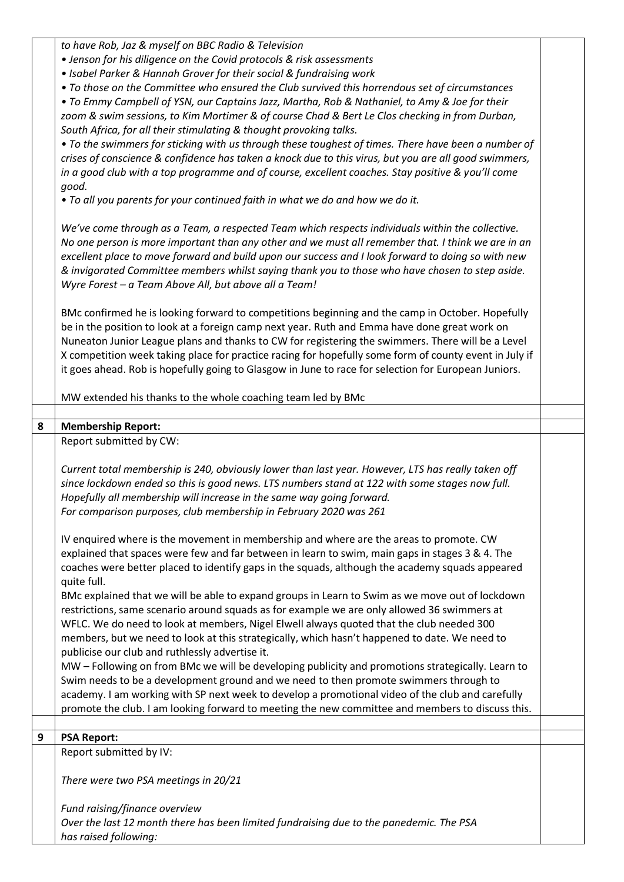*to have Rob, Jaz & myself on BBC Radio & Television* 

- *Jenson for his diligence on the Covid protocols & risk assessments*
- *Isabel Parker & Hannah Grover for their social & fundraising work*

*• To those on the Committee who ensured the Club survived this horrendous set of circumstances* 

*• To Emmy Campbell of YSN, our Captains Jazz, Martha, Rob & Nathaniel, to Amy & Joe for their zoom & swim sessions, to Kim Mortimer & of course Chad & Bert Le Clos checking in from Durban, South Africa, for all their stimulating & thought provoking talks.* 

*• To the swimmers for sticking with us through these toughest of times. There have been a number of crises of conscience & confidence has taken a knock due to this virus, but you are all good swimmers, in a good club with a top programme and of course, excellent coaches. Stay positive & you'll come good.* 

*• To all you parents for your continued faith in what we do and how we do it.* 

*We've come through as a Team, a respected Team which respects individuals within the collective. No one person is more important than any other and we must all remember that. I think we are in an excellent place to move forward and build upon our success and I look forward to doing so with new & invigorated Committee members whilst saying thank you to those who have chosen to step aside. Wyre Forest – a Team Above All, but above all a Team!*

BMc confirmed he is looking forward to competitions beginning and the camp in October. Hopefully be in the position to look at a foreign camp next year. Ruth and Emma have done great work on Nuneaton Junior League plans and thanks to CW for registering the swimmers. There will be a Level X competition week taking place for practice racing for hopefully some form of county event in July if it goes ahead. Rob is hopefully going to Glasgow in June to race for selection for European Juniors.

MW extended his thanks to the whole coaching team led by BMc

## **8 Membership Report:**

Report submitted by CW:

*Current total membership is 240, obviously lower than last year. However, LTS has really taken off since lockdown ended so this is good news. LTS numbers stand at 122 with some stages now full. Hopefully all membership will increase in the same way going forward. For comparison purposes, club membership in February 2020 was 261*

IV enquired where is the movement in membership and where are the areas to promote. CW explained that spaces were few and far between in learn to swim, main gaps in stages 3 & 4. The coaches were better placed to identify gaps in the squads, although the academy squads appeared quite full.

BMc explained that we will be able to expand groups in Learn to Swim as we move out of lockdown restrictions, same scenario around squads as for example we are only allowed 36 swimmers at WFLC. We do need to look at members, Nigel Elwell always quoted that the club needed 300 members, but we need to look at this strategically, which hasn't happened to date. We need to publicise our club and ruthlessly advertise it.

MW – Following on from BMc we will be developing publicity and promotions strategically. Learn to Swim needs to be a development ground and we need to then promote swimmers through to academy. I am working with SP next week to develop a promotional video of the club and carefully promote the club. I am looking forward to meeting the new committee and members to discuss this.

## **9 PSA Report:**

Report submitted by IV:

*There were two PSA meetings in 20/21*

*Fund raising/finance overview Over the last 12 month there has been limited fundraising due to the panedemic. The PSA has raised following:*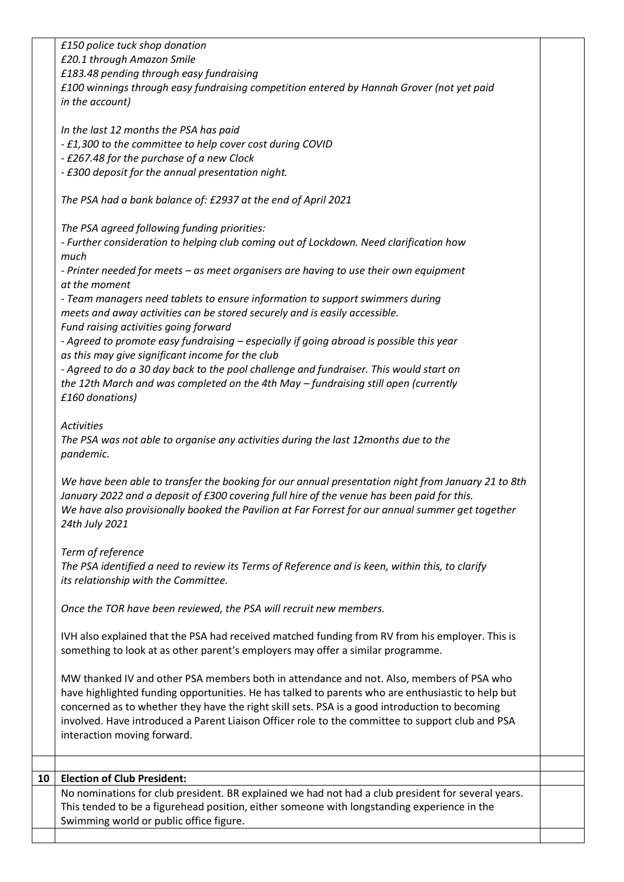*£150 police tuck shop donation £20.1 through Amazon Smile £183.48 pending through easy fundraising £100 winnings through easy fundraising competition entered by Hannah Grover (not yet paid in the account) In the last 12 months the PSA has paid - £1,300 to the committee to help cover cost during COVID - £267.48 for the purchase of a new Clock - £300 deposit for the annual presentation night. The PSA had a bank balance of: £2937 at the end of April 2021 The PSA agreed following funding priorities: - Further consideration to helping club coming out of Lockdown. Need clarification how much - Printer needed for meets – as meet organisers are having to use their own equipment at the moment - Team managers need tablets to ensure information to support swimmers during meets and away activities can be stored securely and is easily accessible. Fund raising activities going forward - Agreed to promote easy fundraising – especially if going abroad is possible this year as this may give significant income for the club - Agreed to do a 30 day back to the pool challenge and fundraiser. This would start on the 12th March and was completed on the 4th May – fundraising still open (currently £160 donations) Activities The PSA was not able to organise any activities during the last 12months due to the pandemic. We have been able to transfer the booking for our annual presentation night from January 21 to 8th January 2022 and a deposit of £300 covering full hire of the venue has been paid for this. We have also provisionally booked the Pavilion at Far Forrest for our annual summer get together 24th July 2021 Term of reference The PSA identified a need to review its Terms of Reference and is keen, within this, to clarify its relationship with the Committee. Once the TOR have been reviewed, the PSA will recruit new members.* IVH also explained that the PSA had received matched funding from RV from his employer. This is something to look at as other parent's employers may offer a similar programme. MW thanked IV and other PSA members both in attendance and not. Also, members of PSA who have highlighted funding opportunities. He has talked to parents who are enthusiastic to help but concerned as to whether they have the right skill sets. PSA is a good introduction to becoming involved. Have introduced a Parent Liaison Officer role to the committee to support club and PSA interaction moving forward. **10 Election of Club President:** No nominations for club president. BR explained we had not had a club president for several years. This tended to be a figurehead position, either someone with longstanding experience in the Swimming world or public office figure.